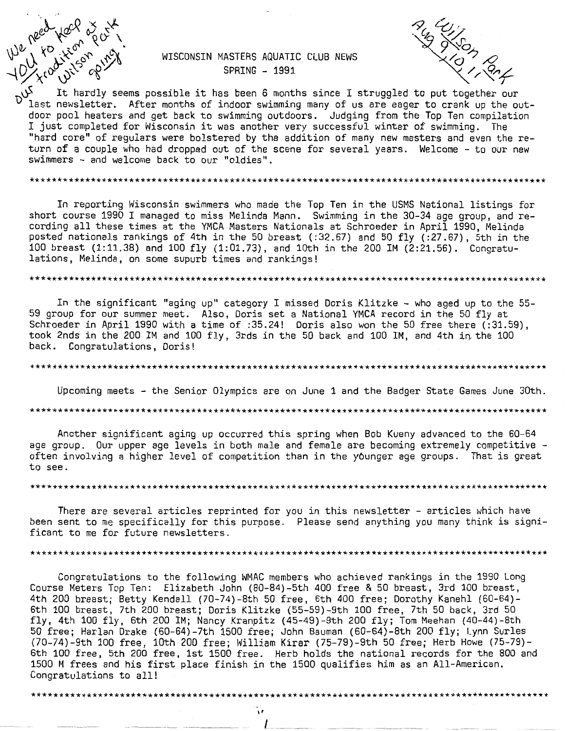We need your or or the

### WISCONSIN MASTERS AQUATIC CLUB NEWS SPRING - 1991



It hardly seems possible it has been 6 months since I struggled to put together our last newsletter. After months of indoor swimming many of us are eager to crank up the outdoor pool heaters and get back to swimming outdoors. Judging from the Top Ten compilation I just completed for Wisconsin it was another very successful winter of swimming. The "hard core" of regulars were bolstered by the addition of many new masters and even the return of a couple who had dropped out of the scene for several years. Welcome - to our new swimmers - and welcome back to our "oldies".

#### 

In reporting Wisconsin swimmers who made the Top Ten in the USMS National listings for short course 1990 I managed to miss Melinda Mann. Swimming in the 30-34 age group, and recording all these times at the YMCA Masters Nationals at Schroeder in April 1990. Melinda posted nationals rankings of 4th in the 50 breast (:32.67) and 50 fly (:27.67), 5th in the 100 breast (1:11.38) and 100 fly (1:01.73), and 10th in the 200 IM (2:21.56). Congratulations, Melinda, on some supurb times and rankings!

#### 

In the significant "aging up" category I missed Doris Klitzke - who aged up to the 55-59 group for our summer meet. Also, Doris set a National YMCA record in the 50 fly at Schroeder in April 1990 with a time of :35.24! Doris also won the 50 free there (:31.59), took 2nds in the 200 IM and 100 fly, 3rds in the 50 back and 100 IM, and 4th in the 100 back. Congratulations, Doris!

#### 

Upcoming meets - the Senior Olympics are on June 1 and the Badger State Games June 30th. 

Another significant aging up occurred this spring when Bob Kueny advanced to the 60-64 age group. Our upper age levels in both male and female are becoming extremely competitive often involving a higher level of competition than in the younger age groups. That is great to see.

There are several articles reprinted for you in this newsletter - articles which have been sent to me specifically for this purpose. Please send anything you many think is significant to me for future newsletters.

#### 

Congratulations to the following WMAC members who achieved rankings in the 1990 Long Course Meters Top Ten: Elizabeth John (80-84)-5th 400 free & 50 breast, 3rd 100 breast, 4th 200 breast; Betty Kendall (70-74)-8th 50 free, 6th 400 free; Dorothy Kanehl (60-64)-<br>6th 100 breast, 7th 200 breast; Doris Klitzke (55-59)-9th 100 free, 7th 50 back, 3rd 50 fly, 4th 100 fly, 6th 200 IM; Nancy Kranpitz (45-49)-9th 200 fly; Tom Meehan (40-44)-8th 50 free; Harlan Drake (60-64)-7th 1500 free; John Bauman (60-64)-8th 200 fly; Lynn Surles (70-74)-9th 100 free, 10th 200 free; William Kirar (75-79)-9th 50 free; Herb Howe (75-79)-6th 100 free, 5th 200 free, 1st 1500 free. Herb holds the national records for the 800 and 1500 M frees and his first place finish in the 1500 qualifies him as an All-American. Congratulations to all!

> Ŵ I

\*\*\*\*\*\*\*\*\*\*\*\*\*\*\*\*\*\*\*\*\*\*\*\*\*\*\*\*\*\*\*\*\*\*\*\*\*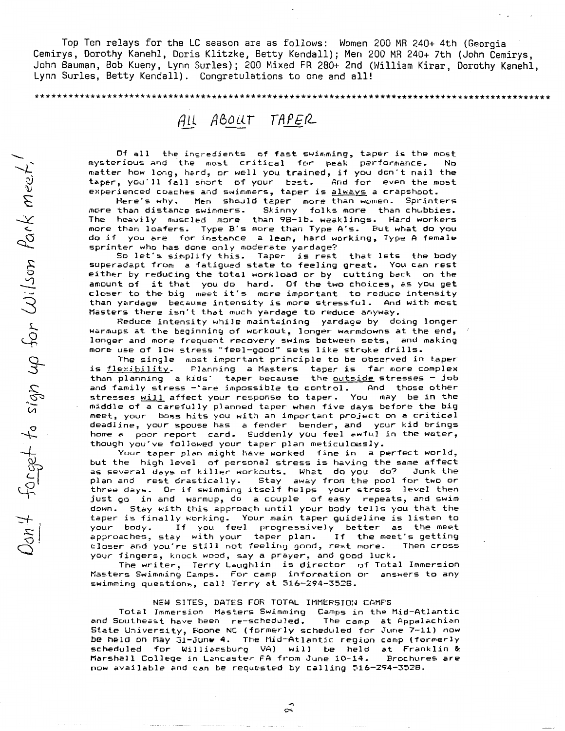Top Ten relays for the LC season are as follows: Women 200 MR 240+ 4th (Georgia Cemirys, Dorothy Kanehl, Doris Klitzke, Betty Kendall); Men 200 MR 240+ 7th (John Cemirys, John Bauman, Bob Kueny, Lynn Surles); 200 Mixed FR 280+ 2nd (William Kirar, Dorothy Kanehl, Lynn Surles, Betty Kendall). Congratulations to one and all!

\*\*\*\*\*\*\*\*\*\*\*\*\*\*\*\*\*\*\*\*\*\*\*\*\*\*\*\*\*\*\*\*\*\*\*\*\*\*\*\*\*\*\*\*\*\*\*\*\*\*\*\*\*\*\*\*\*\*\*\*\*\*\*\*\*\*\*\*\*\*\*\*\*\*\*\*\*\*\*\*\*\*\*\*\*\*\*\*\*\*\*\*\*

## ALL ABOUT TAPER

Of all the ingredients of fast swimming, taper is the most mysterious and the most critical for peak performance. No matter how long, hard, or well you trained, if you don't nail the<br>taper, you'll fall short of your best. And for even the most taper, you'll fall short of your best.

experienced coaches and swimmers, taper is <u>always</u> a crapshoot.<br>Here's why. Men should taper more than women. Sprint Here's why. Men should taper more than women. Sprinters<br>more than distance swimmers. Skinny folks more than chubbies. Skinny folks more than chubbies. The heavily muscled more than 98-1b. weaklings. Hard workers more than loafers. Type B"s more than Type A"s. But what do you more than foaters. Type B s more than type H s. But what do you<br>do if you are for instance a lean, hard working, Type A female sprinter who has done only moderate yardage?

So let's simplify this. Taper is rest that lets the body superadapt from: a fatigued state to feeling great. You can rest either by reducing the total workload or by cutting back on the amount of it that you do hard. Of the two choices, as you get closer to the big meet it"s more important to reduce intensity than yardage because intensity is more stressful. And with most Masters there isn"t that much yardage to reduce anyway.

Reduce intensity while maintaining yardage by doing longer warmups at the beginning of wcrkout, longer warmdowns at the end, longer and more frequent recovery swims between sets, and making more use of low stress "feel-good" sets like stroke drills.

The single most important principle to be observed in taper<br>is flexibility. Planning a Masters taper is far more complex Planning a Masters taper is far more complex than planning a kids' taper because the outside stresses - job and family stress - are impossible to control. And those other stresses <u>will</u> affect your response to taper. You may be in the middle of a carefully planned taper when five days before the big meet, your boss hits you with an important project on a critical deadline, your spouse has a fender bender, and your kid brings home a poor report card. Suddenly you feel awful in the water, though you've followed your taper plan meticulously.

Your taper plan might have worked fine in a perfect world, but the high level of personal stress is having the same affect<br>as several days of killer workouts. What do you do? Junk the as several days of killer workouts. What do you do?<br>plan and rest drastically. Stay away from the pool Stay away from the pool for two or three days. Or if swimming itself helps your stress level then just go in and warmup, do a couple of easy repeats, and swim down. Stay with this approach until your body tells you that the taper is finally working. Your main taper guideline is listen to If you feel progressively better as the meet<br>ay with your taper plan. If the meet's getting approaches, stay with your taper plan. If the meet's getting<br>closer and you're still not feeling good, rest more. Then cross closer and you're still not feeling good, rest more. your fingers, knock wood, say a prayer, and good luck.

The writer, Terry Laughlin is director of Total Immersion Masters Swimming Camps. For camp information or ans~ers to any swimming questions, call Terry at 516-294-3528.

#### NEW SITES, DATES FOR TOTAL IMMERSION CAMPS

Total Immersion Masters Swimming Camps in the Mid-Atlantic and Southeast have been re-scheduled. The camp at Appalachian State University, Boone NC (formerly scheduled for June 7-11) now be held on May 31-June 4. The Mid-Atlantic region camp (formerly scheduled for Williamsburg VA) will be held at Franklin & Marshall College in Lancaster FA from June 10-14. now available and can be requested by calling  $516-294-3528$ .

 $\hat{\mathfrak{c}}$ 

 $\overline{+}$ .  $\frac{\omega}{\nu}$  $\tilde{\mathcal{L}}$  $\star$  $\sigma_{\!\mathcal{Q}}$ 3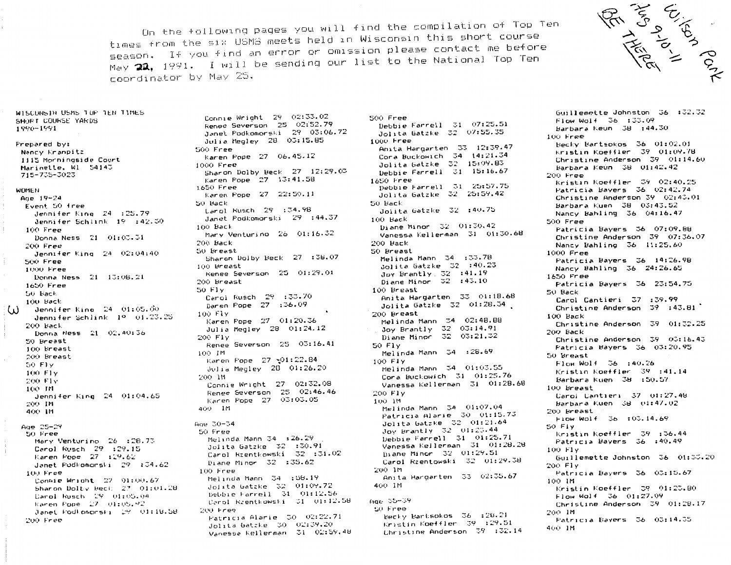On the following pages you will find the compilation of Top Ten times from the six USMS meets held in Wisconsin this short course season. If you find an error or omission please contact me before May 22, 1991. I will be sending our list to the National Top Ten coordinator by May 25.

500 Free



WISCONSIN USMS TOP TEN TIMES SHOFT COURSE YARDS 1990-1991

Frepared by: Nancy Kranpitz 1115 Morningside Court Marinette. W1 54145 715-735-3023

WOMEN

Age  $19 - 24$ Fyent 50 free Jennifer King, 24, :25.79 Jennifer Schlink 19 :42.30 100 Free Donna Ness 21 01:03.31 200 Free Jennifer King 24 02:04:40 500 Free 1000 Free Donna Ness 21 13:08.21 1650 Free 50 Back 100 Back Jennifer King, 24, 01:05.00  $\left( \mathbf{1} \right)$ Jennifer Schlink 1º 01.23.25 200 Back Donna Ness 21 02.40:36 50 Breast 100 Breast 200 Breast 50 Fly 100 Flv 200 Flv 100 IM Jennifer King 24 01:04.65 200 IM 400 18 Aug 25-29 50 Free Mary Venturino 26 :28.73 Carol Rusch 29 :29.15 Karen Pope 27 : 29.62 Janet Fodkomorski 29 :34.62 100 Free

Connie Wright 27 01:00.67 Sharon Dolty Beck,  $27 - 01:01.28$ Darol Rusch 29 01:05.04 Karen Pope 27 01:05.92 Janet PodLomorski (29. 01:18.58 200 Free

Connie Wright 29 02:33.02 Renee Severson 25 02:52.79<br>Janet Podkomorski 29 03:06.72 Julia Megley 28 03:15.85 SOO Free Karen Pope 27 06.45.12 1000 Free Sharon Dolby Beck 27 12:29.03 Karen Pope 27 13:41.58 1650 Free Karen Pope 27 22:50.11 50 Back Larol Rusch 29 :34.98 Janet Podkomorski 29 :44.37 100 Back Mary Venturino 26 01:16.32 200 Back 50 Breast Sharon Dolby Beck 27 :38.07 100 Breast Kenee Severson 25 01:29.01 200 Breast 50 Fly Carol Rusch 29 :33.70 Daren Pope 27 :36.09 100 Flv Karen Pope 27 01:20.36 Julia Megley 28 01:24.12 200 Fly Renee Severson 25 03:16.41 100 IM Karen Pope 27 -01:22.84 Julia Megley 28 01:26.20 200 IM Connie Wright 27 02:32.08 Renee Severson 25 02:46.46 Karen Pope 27 03:03.05 400 IM Age 30-34 50 Free Melinda Mann 34 :26.29 Jolita Gatzke 32 :30.91 Carol Rzentkowski 32 :31.02 Diane Minor 32 :35.62 100 Free Melinda Mann 34 :58.19 Jointa Gatzke 32 01:09.72 Debbie Farrell 31 01:12.56 Carol Rzentkowski 31 01:12.58 200 Free Fatricia Alarie (30 02:22.71) Jolita Gatzke 30 02:39.20

Vanessa Kellerman 31 02:59.48

Debbie Farrell 31 07:25.51 Jolita Gatzke 32 07:55.35 1000 Free Anita Hargarten 33 12:39.47 Cora Buckowich 34 14:21.34 Jolita Gatzke 32 15:09.83 Debbie Farrell 31 15:16.67 1650 Free Debbie Farrell 31 25:57.75 Jolita Gatzke 32 25:59.42 50 Back Jolita Gatzke 32 :40.75 100 Back Diane Minor 32 01:30.42 Vanessa Kellerman 31 01:30.68  $200$   $\text{Back}$ 50 Breast Melinda Mann 34 :33.78 Jolita Gatzke 32 :40.23 Joy Brantly,  $32 \div 41.19$ Diane Minor  $32 : 43.10$ 100 Breast Anita Hargarten 33 01:18.68 Jolita Gatzke 32 01:28.34 200 Breast Melinda Mann 34 02:48.88 Joy Brantly 32 03:14.91 Diane Minor 32 03:21.32 50 Flv Melinda Mann 34 :28.69 100 Fly Melinda Mann 34 01:03.55 Cora Buckowich 31 01:25.76 Vanessa Kellerman 31 01:28.68 200 Fly 100 IM Melinda Mann 34 01:07.04 Patricia Alarie 30 01:15.73 Jolita Gatzke 32 01:21.64 Joy Brantly 32 01:23.44 Debbie Farrell 31 01:25.71 Vanessa Kellerman 31 01:28.28 Diane Minor 32 01:29.51 Carol Rzentowski 32 01:29.38 200 im Anita Hargarten 33 02:35.67 400 IM -Аое 35−39 SO Free

Becky Bartsokos 36 :28.21 Kristin Koeffler 39 :29.51 Christine Anderson 39 :32.14

Guillemette Johnston 36 :32.32 Flow Wolf 36 :33.09 Barbara Keun 38 :44.30  $100$  Free Becky Bartsokos 36 01:02.01 Kristin Koeffler, 39, 01:09.78 Christine Anderson 39 01:14.60 Barbara Keún 38 01:42.42 200 Free Kristin Koeffler 39 02:40.25 Patricia Bayers 36 02:42.74 Christine Anderson 39 02:43.01 Barbara Kuen 38 03:43.52 Nancy Bahling 36 04:16.47 500 Free Patricia Bavers 36 07:09.88 Christine Anderson 39 07:36.07 Nancy Bahling 36 11:25.60  $1000$  Free Patricia Bavers 36 14:26.98 Nancy Bahling 36 24:26.65 1650 Free Patricia Bayers 36 23:54.75 50 Back Carol Cantieri 37 :39.99 Christine Anderson  $39:43.81$ 100 Back Christine Anderson 39 01:32.25 200 Back Christine Anderson 39 03:16.43 Patricia Bavers 36 03:20.95 50 Breast Flow Wolf 36 :40.26 Kristin Koeffler 39 :41.14 Barbara Kuen 38 :50.57 100 Breast Carol Cantieri 37 01:27.48 Barbara Kuen 38 01:47.02 200 Breast Flow Wolf 36 :03.14.69 SO FIY Kristin Koeffler 39 :36.44 Patricia Bavers 36 :40.49 100 Fly Guillemette Johnston 36 01:33.20 200 Fiv Patricia Bayers 36 03:15.67 100 IM Kristin Koeffler 39 01:23.80 Flow Walf 36 01:27.09 Christine Anderson 39 01:28.17 200 IM Patricia Bavers 36 03:14.35 400 IM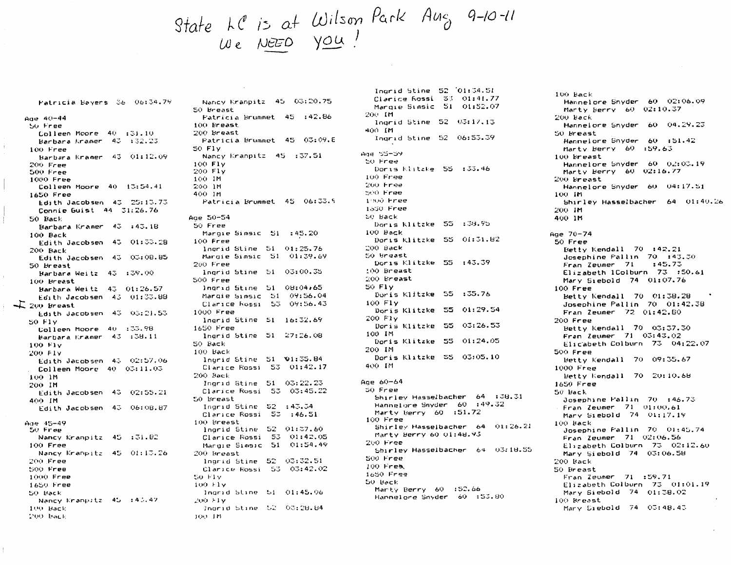# State LC is at Wilson Park Aug 9-10-11

Patricia Bavers 36 06:34.79  $Aq = 40 - 44$ 50 Free Colleen Moore 40 :31.10 Barbara Kramer 43 :32.23 100 Free Barbara Kramer 43 01:12.09 200 Free 500 Free 1000 Free Colleen Moore 40 13:54.41 1650 Free Edith Jacobsen 43 25:13.73 Connie Guist 44 31:26.76 50 Back Barbara Kramer 43 :43.18 100 Back Edith Jacobsen 43 01:33.28 200 Back Edith Jacobsen 43 03:08.85 50 Hreast Barbara Weitz 43 :39.00 100 Breast Barbara Weitz 43 01:26.57 Edith Jacobsen 43 01:33.88  $\Sigma$  200 Breast Edith Jacobsen 43 03:21.53 50 F1v Lolleen Moore 40 :33.98 Barbara Kramer 43 :38.11  $100$   $F1v$ 200 F1v Edith Jacobsen 43 02:57.06 Colleen Moore 40 03:11.03 100 IM 200 IM Edith Jacobsen 43 02:55.21 400 IM Edith Jacobsen 43 06:08.87 Ade 45-49 50 Free Nancy Kranpitz 45 :31.82 100 Free Nancy Kranpitz 45 01:13.26  $200$  Free 500 Free 1000 Free 1650 Free 50 Back Nancy Kranpitz 45 :43.47 100 Back 200 Back

Nancy Kranpitz 45 03:20.75 50 Breast Patricia Brummet 45 :42.86 100 Breast 200 Breast Patricia Brummet 45 03:09.E 50 Flv Nancy Kranpitz 45 :37.51 100 Fly 200 Fly 100 IM 200 IM 400 IM Patricia Brummet 45 06:33.5 Age 50-54 50 Free Marqie Simsic 51 : 45.20 100 Free Inorid Stine 51 01:25.76 Margie Simsic 51 01:39.69 200 Free lnarid Stine 51 03:00.35 500 Free Ingrid Stine 51 08:04:65 Margie Simsic 51 09:56.04 Clarice Rossi 53 09:56.43 1000 Free lnorid Stine 51 16:32.69 1650 Free Ingrid Stine 51 27:26.08 50 Back  $100$  Back Ingrid Stine 51 01:35.84 Clarice Rossi 53 01:42.17 200 Back Ingrid Stine 51 03:22.23 Clarice Rossi 53 03:45.22 50 Breast Indrid Stine 52 : 43.34 Clarice Rossi 53 :46.51 100 Breast Ingrid Stine 52 01:37.60 Clarice Rossi 53 01:42.05 Margie Simsic 51 01:54.49 200 Breast Inorid Stine 52 03:32.51 Clarice Rossi 53 03:42.02 SO FIV  $100 + 1v$ Inarid Stine 51 01:45.06  $200 + 10$ Indrid Stine 52 03:28.84 100 IM

 $C1$ arice Rossi  $53 - 01:41.77$ Marqie Simsic - 51 - 01:52.07 200 IM Ingrid Stine 52 03:17.13 400 IM Indrid Stine 52 06:53.39 Ade 55-59 50 Free Doris Klitzke 55 :33.46  $100$  Free  $200$  Free 500 Free  $1:800$  Free 1550 Free 50 Back Doris Klitzke 55 :38.95 100 Back Donis Klitzke 55 01:31.82 200 Back 50 Breast Doris Klitzke 55 :43.39 100 Breast 200 Breast 50 FIV Doris Klitzke 55 :35.76 100 F1v Doris Klitzke 55 01:29.54 200 Fly Doris Klitzke 55 03:26.53 100 IM Doris Klitzke 55 01:24.05 200 IM Donis Klitzke 55 03:05.10 400 IM Age 60-64 50 Free Shirley Hasselbacher 64 :38.31 Hannelore Snyder 60 :49.32 Marty Berry 60 :51.72  $100$  Free Shirley Hasselbacher 64 01:26.21 Marty Berry 60 01:48.93  $200$  Free Shirley Hasselbacher 64 03:18.55 500 Free  $100$  Free  $1650$  Free 50 Back Marty Berry 60 :52.66 Hannelore Snyder 60 :53.80

Indrid Stine  $52$   $'01:34.51$ 

100 Back Hannelore Snyder 60 02:06.09 Marty Berry 60 02:10.37  $200$  Back Hannelore Snyder 60 04.29.23 50 Breast Hannelore Snyder 60 :51.42 Marty Herry 60 :59.63 100 Breast Hannelore Snyder 60 02:03.19 Marty Herry 60 02:16.77 200 Breast Hannelore Snyder 60 04:17.51 100 IM Shirley Hasselbacher 64 01:40.26 200 IM 400 IM Age 70-74 50 Free Betty Kendall  $70 : 42.21$ Josephine Pallin 70 :43.30  $: 45.73$ Fran Zeumer 71 Elizabeth 1Colburn 73 :50.61 Mary Siebold 74 01:07.76 100 Free Betty Kendall 70 01:38.28 Josephine Pallin 70 01:42.38 Fran Zeumer 72 01:42.60 200 Free Betty Kendall 70 03:37.30  $From 2eumer 71 03:43.02$ Elicabeth Colburn 73 04:22.07 500 Free Betty Kendall 70 09:35.67 1000 Free Betty Kendall 70 20:10.68 1650 Free 50 Hack Josephine Pallin 70 : 46.73 Fran Zeumer 71 01:00.61 Mary Siebold 74 01:17.19  $100$  Back Josephine Fallin 70 01:45.74 Fran Zeumer 71 02:06.56 Elizabeth Colburn 73 02:12.60 Mary Siebold 74 03:06.58 200 Back 50 Breast  $Final$  Zeumer  $71$  :59.71 Elizabeth Colburn 73 01:01.19 Mary Siebold 74 01:38.02 100 Breast Mary Siebold 74 03:48.43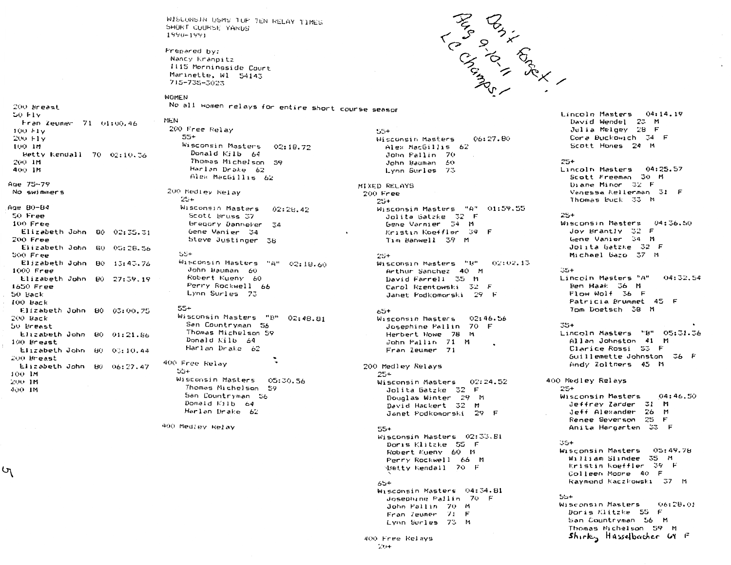WISCONSIN USMS TOP TEN RELAY TIMES SHORT CUURSE YARDS 1990-1991

Prepared by: Nancy Kranpitz 1115 Morningside Court Marinette, W1 54143 715-735-3023

WOMEN

55+

MEN

No all women relays for entire short course seasor

50 FIV Fran Zeumer 71 01:00.46 100 FIV 200 Fly 100 IM Betty Kendall 70 02:10.36 200 IM 400 IM Age 75-79 No swimmers Age 80-84

200 Breast

ιη

50 Free 100 Free Elizabeth John 80 02:35.31 200 Free Elizabeth John 80.  $05:28.56$ 500 Free Elizabeth John 80  $13:43.76$ 1000 Free Elizabeth John 80 27:39.19 1650 Free 50 Back  $100$  Back Elizabeth John 80 03:00.75 200 Back 50 Breast Elizabeth John 80 01:21.86 100 Breast Elizabeth John 80 03:10.44 200 Breast Elizabeth John 80 06:27.47 100 IM 200 IM 400 IM

200 Free Relay Wisconsin Masters 02:18.72 Donald Kilb 64 Thomas Michelson 59 Harlan Drake 62 Alex MacGillis 62

200 Medley kelay 25+ Wisconsin Masters 02:28.42 Scott Bruss 37 bregory Danneker -34 Gene Vanier – 34 Steve Justinger зь 55+ Wisconsin Masters "A" 02:18.60 John Bauman 60 Robert Kueny 60 Perry Rockwell - 66 Lynn Surles 73 55+

Wisconsin Masters "B" 02:48.81 San Countryman - 56 Thomas Michelson 59 Donald Kilb 64 Harlan Drake 62 400 Free Relay

55+ Wisconsin Masters 05:30.56 Thomas Michelson 59 San Countryman 56 Donald Kilb 64 Harlan Drake 62

400 Medley Relay

55+ Wisconsin Masters 06:27.80 Alex MacGillis 62 John Pallin - 70 John Bauman - 60 Lynn Surles 73

MIXED RELAYS 200 Free 25+ Wisconsin Masters "A"  $01:59.55$ Jolita Gatzke - 32 - F Gene Varnier - 34 - M Kristin Koeffler, 39 Tim Banwell 39 M

#### 25+

Wisconsin Masters "B" 02:02.15 Arthur Sanchez 40 M David Farrell 35 M Carol Rzentowski - 32 - F Janet Fodkomorski - 29 - F

#### 65+

Wisconsin Masters 02:46.56 70 F Josephine Pallin Herbert Howe 78 -17 John Pallin 71 M Fran Zeumer 71

200 Medley Relays 25+ Wisconsin Masters 02:24.52 Jolita Gatzke (32 F Douglas Winter 29 M David Hackert 32 M Janet Podkomorski, 29. F

#### 55+ Wisconsin Masters 02:33.81

Doris Klitzke, 55, F Robert Kueny 60 M Perry Rockwell 66 M djetty Kendall (O. P. 65+ Wisconsin Masters - 04:34.81

Josephine Pallin 70 F John Pallin 70 M Fran Zeumer 71 F Lynn Surles 73 M

Lincoln Masters 04:14.19 David Wendel, 23 M Julia Melgey 28 F Core Buckowich 34 F Scott Hones 24 M

#### 25+

Lincoln Masters  $04:25.57$ Scott Freeman 30 M Diane Minor  $32$  F Vanessa Kellerman (31 - F Thomas Buck 33 M

#### 25+

Wisconsin Masters 04:36.50 Joy Brantly 32 F Gene Vanier 34 M Jolita Gatzke SZ F Michael Gazo 37 m

#### -35+

Lincoln Masters "A"  $04332,04$ Ben Haak J6 M Flow Wolf 36 F Patricia Brummet 45 F 10m Doetsch 38 M

#### చెర+

Lincoln Masters "B" 05:31.36 Allan Johnston 41 M Clarice Rossi 53 F buillemette Johnston - 36 F Andy Zoltners, 45 M

400 Medley Relays 25+ Wisconsin Masters 04:46.50 Jeffrey Zarder (31 M Jeff Alexander 26 M Renee Severson 25 н. Anita Hargarten (33 F

#### ا ت

Wisconsin Masters (05:49.78 William Slindee 35 M Kristin Koeffler, 39 (r. Colleen Moore 40 r Raymond Kaczkowski – 37 – M

#### ວນ+

Wisconsin Masters 06128.01 Donis Klitzke, bol H San Countryman Sol m Thomas Michelson 59 M Shirky Husselbacher 69 F

400 Free Relays - 0+

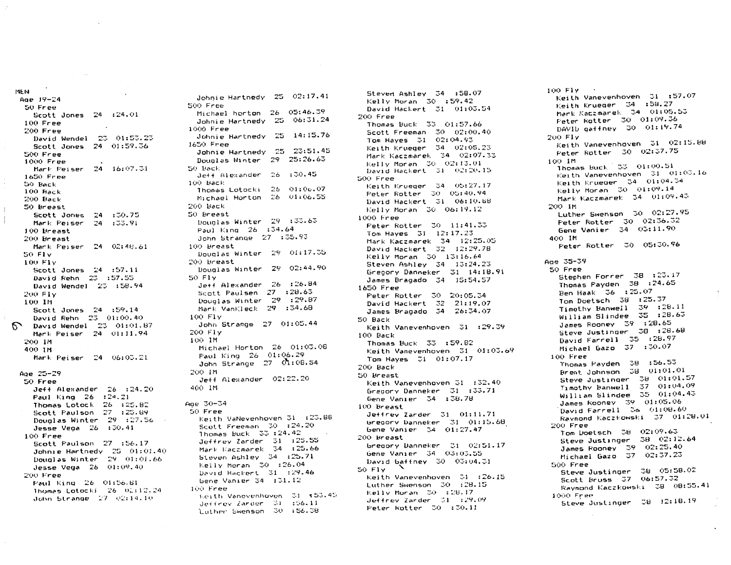```
Age 19-24
 50 Free
   Scott Jones 24:24.01100 Free
 200 Free
   David Wendel 23 01:53.23
   Scott Jones 24 01:59.36
 500 Free
 1000 Free
   Mark Peiser 24 16:07.31
 1650 Free
 50 Back
 100 Back
 200 Back
 50 Breast
   Scott Jones 24 : 30.75
   Mark Peiser 24 : 33.91100 Breast
 200 Breast
   Mark Peiser 24 \quad 02:48.6150 FIV
 100 FIV
   Scott Jones 24 :57.11
   David Rehn 23 :57.55
   David Wendel 23 :58.94
 200 FIV
 100 IM
   Scott Jones 24 :59.14
   David Rehn 23 01:00.40
  David Wendel 23 01:01.87
   Mark Peiser 24 01:11.94
 200 IM
 400 IM
   Mark Peiser 24 06:03.21
Age 25-29
 50 Free
   Jeff Alexander 26 : 24.20Paul King 26 : 24.21
   Thomas Lotock 26 :25.82
   Scott Paulson 27 :25.89
   Douglas Winter 29 :27.56
   Jesse Vega 26 : 30.41100 Free
   Scott Faulson 27 :56.17
   Johnie Hartnedy 25 01:01.40
   Douglas Winter 29 - 01:01.66Jesse Vega 26 - 01:09.40200 Free
   Paul King 26 01:56.81
   Thomas Lotocki 26 02:12.24
   John Strange 27 02:14.10
```
 $\sim$ 

and the state

MF N

Johnie Hartnedy 25 02:17.41 500 Free Michael horton 26 05:46.39 Johnie Hartnedy 25 06:31.24 1000 Free Johnie Hartnedy 25 14:15.76  $1650$  Free Johnie Hartnedy 25 23:51.45 Douglas Winter 29 25:26.63 50 Back : 30.45 Jeff Alexander 26 100 Back Thomas Lotocki 26 01:06.07 Michael Horton 26 01:06.55 200 Back 50 Breast Douglas Winter 29 :33.63 Paul King 26 :34.64 John Strange 27 :35.93 100 Breast Douglas Winter 29 01:17.35 200 Breast Douglas Winter 29 02:44.90 SO FIV Je++ Alexander 26 :26.84 Scott Paulsen 27 : 28.63 Douglas Winter 29 : 29.87 Mark VanKleck 29 :34.68 100 Fly John Strange 27 01:05.44 200 Fly 100 IM Michael Horton 26 01:03.08 Faul King 26 01:06.29 John Strange 27 01:08.54 200 IM Jeff Alexander 02:22.20 400 IM Age 30-34 50 Free Keith VaNevenhoven 31 :23.88 Scott Freeman - 30 : 24.20 Thomas Buck 33:24.42 Jeffrey Zarder 31 :25.55 Mark Kaczmarek 34 :25.66 Steven Ashley 34 :25.71 Kelly Moran 30 :26.04 David Hackert  $-31$  :29.46 Gene Vanier 34  $:31.12$ 100 Free Keith Vanevenhoven 31 +53.45 Jeffrey Zarder - 31 - 196.11

Luther Swenson 30 :56.38

 $Kellv$  Moran  $30 : 59.42$ David Hackert 31 01:03.54 200 Free Thomas Buck 33 01:57.66 Scott Freeman 30 02:00.40 Tom Hayes 31 02:04.93 Keith Krueger 34 02:05.23 Mark Kaczmarek 34 02:07.33 Kelly Moran (30 02:13.01) David Hackert 31 02:20.15 500 Free Keith Krueger 34 05:27.17 Peter Rotter 30 05:40.94 David Hackert 31 06:10.68  $Kell1v$  Moran  $30-06:19.12$ 1000 Free Peter Rotter 30 11:41.33 Tom Haves  $31 - 12:17.23$ Mark Kaczmarek 34 12:25.05 David Hackert 32 12:29.78 Kelly Moran  $30-13:16.64$ Steven Ashley 34 13:24.23 Gregory Danneker 31 14:18.91 James Bragado 34 15:54.57 1650 Free Peter Rotter 30 20:05.34 David Hackert 32 21:19.07 James Bragado 34 26:34.07 50 Back Keith Vanevenhoven 31 :29.39 100 Back Thomas Buck 33 : 59.82 Keith Vanevenhoven 31 01:03.69 Tom Hayes 31 01:07.17 200 Back 50 Breast Keith Vanevenhoven 31 :32.40 Gregory Danneker 31 :33.71 Gene Vanier 34 :38.78 100 Breast Jeffrey Zarder 31 01:11.71 Gregory Danneker 31 01:15.68 Gene Vanier 34 01:27.47 200 Breast Gregory Danneker 31 02:51.17 Gene Vanier 34 03:03.55 David Gaffney 30 03:04.31 50 Fly Keith Vanevenhoven - 31 :26.15 Luther Swenson 30 :28.15 Kelly Moran 30 :28.17  $Jeff$  frev Zarder  $-31 - 129.09$ Peter Rotter 30 :30.11

Steven Ashley 34 :58.07

Keith Vanevenhoven - 31 :57.07 Keith Krueger – 34 – :58.27 Mark Kaczmarek 34 01:05.53 Peter Rotter 30 01:09.36 DAVID gaffney 30 01:19.74 200 FIV Keith Vanevenhoven 31 02:15.88 Peter Rotter - 30 - 02:37.75 LOO IM Thomas Buck 33 01:00.51 Keith Vanevenhoven 31 01:03.16 Keith Krueger 34 01:04.34 Kelly Moran 30 01:09.14 Mark Kaczmarek 34 01:09.43 200 IM Luther Swenson 30 02:27.95 Feter Rotter 30 02:36.32 Gene Vanier 34 03:11.90 400 IM Feter Rotter 30 05:30.96 Age 35-39 50 Free Stephen Forrer 38 :23.17 Thomas Payden 38 :24.65 Ben Haak 36 : 25.07 Tom Doetsch 38 :25.37 Timothy Banwell 39 :28.11 William Slindee 35 :28.63 James Rooney 39 :28.65 Steve Justinger 38 :28.68 David Farrell 35:28.97 Michael Gazo 37 :30.07 100 Free Thomas Payden 38 :56.53 Steve Justinger 38 01:01.57 Timothy Banwell  $-37$   $-01:04.09$ William Slindee  $-35$   $-01:04.43$ James Rooney 39 01:05.06 David Farrell  $\,$  36  $\,$  01:08.60  $\,$ Raymond Kaczkowski - 37 - 01:28.01 200 Free Tom Doetsch - 38 - 02:09.63 Steve Justinger - 38 - 02:12.64 James Rooney 39 02:25.40 Michael Gazo 37 02:37.23 500 Free Steve Justinger 38 05:58.02 Scott Bruss 37 06:57.32 Raymond Kaczkowski 38 08:55.41 1000 Free Steve Justinger 38 12:18.19

 $100$  Fly  $\ddot{\text{C}}$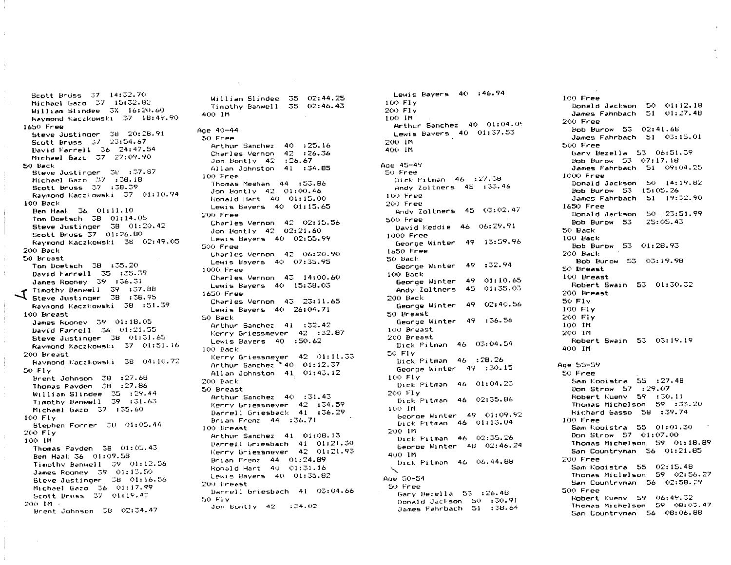Scott Bruss 37 14:32.70 Michael Gazo 37 15:32.82 William Slindee 3% 16:20.60 Raymond Kaczkowski 37 18:49.90 1650 Free Steve Justinger 38 20:28.91 Scott Bruss 37 23:54.67 David Farrell 36 24:47.54 Michael Gazo 37 27:09.90 50 Back Steve Justinger 38 :37.87 Michael Gazo 37 :38.18 Scott Bruss 37 : 38.39 Raymond Kaczkowski 37 01:10.94 100 Back Ben Haak 36 01:11.10 Tom Doetsch 38 01:14.05 Steve Justinger 38 01:20.42 Scott Bruss 37 01:26.80 Raymond Kaczkowski 38 02:49.05 200 Back 50 Breast Tom Doetsch 38 :35.20 David Farrell 35 :35.39 James Rooney 39 :36.31 Timothy Banwell 39 :37.88  $\sum$  ilmothy better.<br>Steve Justinger 38:38.95 Raymond Kaczkowski 38 :51.39 100 Breast James Rooney 39 01:18.05 David Farrell 36 01:21.55 Steve Justinger 38 01:31.65 Raymond Kaczkowski 37 01:51.16 200 Breast Raymond Kaczkowski 38 04:10.72 50 Flv Brent Johnson 38 :27.68 Thomas Payden 38 :27.86  $With a m. Slindee 35 : 29.44$ Timothy Hanwell 39 :31.63 Michael Gazo 37 :35.60 100 Flv Stephen Forrer 38 01:05.44 200 FIy 100 IM Thomas Payden 38 01:05.43 Ben Haak 36 01:09.58 Timothy Benwell 39 01:12.56 James Rooney 39 01:13.50 Steve Justinger 38 01:16.56 Michael Gazo 36 01:17.99 Scott Bruss 37 01:19.43  $200-1M$ Brent Johnson 58 02:34.47

William Slindee 35 02:44.25 Timothy Banwell 35 02:46.43 400 IM Age 40-44 50 Free Arthur Sanchez 40 :25.16 Charles Vernon 42 :26.36 Jon Bontly  $42 : 26.67$ Allan Johnston 41:34.85 100 Free Thomas Meehan 44 :53.B6 Jon Bontly 42 01:00.46 Ronald Hart 40 01:15.00 Lewis Bayers 40 01:15.65 200 Free Charles Vernon 42 02:15.56 Jon Bontly 42 02:21.60 Lewis Bayers 40 02:55.99 500 Free Charles Vernon 42 06:20.90 Lewis Bayers 40 07:35.95 1000 Free Charles Vernon  $43 - 14:00.60$ Lewis Bayers 40 15:38.03 1650 Free Charles Vernon 43 23:11.65 Lewis Bavers 40 26:04.71 50 Back Arthur Sanchez 41 :32.42 Kerry Griessmever 42 :32.87 Lewis Bayers 40 :50.62  $100$  Back Kerry Griessmeyer 42 01:11.33 Arthur Sanchez 140 01:12.37 Allan Johnston 41 01:43.12 200 Back 50 Breast Arthur Sanchez 40 :31.43 Kerry Griessmeyer 42 :34.59 Darrell Griesback 41:36.29 Brian Frenz 44 :36.71 100 Breast Arthur Sanchez 41 01:08.13 Darrell Griesbach 41 01:21.30 Kerry Griessmeyer 42 01:21.93 Brian Frenz 44 01:24.89 Ronald Hart 40 01:31.16 Lewis Bayers 40 01:35.82 200 Breast Darrell Griesbach 41 03:04.66 50 Flv Jon Bontly  $42 : 34.02$ 

Lewis Bayers 40:46.94 100 FIV 200 Fly 100 IM Arthur Sanchez 40 01:04.09 Lewis Bayers 40 01:37.53 200 IM 400 IM Age 45-49 50 Free Dirk Pitman 46 :27.38 Andy Zoltners 45 :33.46 100 Free 200 Free Andy Zoltners 45 03:02.47 500 Free David Keddie 46 06:29.91 1000 Free George Winter 49 13:59.96 1650 Free 50 Back George Winter 49 :32.94 100 Back George Winter 49 01:10.65 Andy Zoltners 45 01:35.03 200 Back George Winter 49 02:40.56 50 Breast George Winter 49 :36.56 100 Breast 200 Breast Dick Pitman 46 03:04.54 50 Flv Dick Pitman 46 :28.26 George Winter 49 :30.15 100 Fly Dick Pitman 46 01:04.23 200 Fly Dick Pitman 46 02:35.86 100 IM George Winter 49 01:09.92 Dick Pitman 46 01:13.04 200.1M Dick Fitman 46 02:35.26 George Winter 48 02:46.24 400 IM Dick Pitman 46 06.44.88  $\mathcal{L}$ Age 50-54 50 Free Gary Bezella 53 :26.48 Donald Jackson 50 :30.91 James Fahrbach 51 :38.64

 $100$  Free Donald Jackson 50 01:12.18 James Fahnbach 51 01:27.48 200 Free Bob Burow 53 02:41.66 James Fahrbach 51 03:15.01 500 Free Gary Bezella 53 06:51.39 Bob Burow 53 07:17.18 James Fahrbach 51 09:04.25 1000 Free Donald Jackson 50 14:19.82 Bob Burow 53 15:05.26 James Fahrbach 51 19:32.90 1650 Free Donald Jackson 50 23:51.99 25:05.43 Bob Burow 53 50 Back 100 Back Bob Burow 53 01:28.93 200 Back Bob Burow 53 03:19.98 50 Breast 100 Breast Robert Swain 53 01:30.32 200 Breast 50 F1v 100 Fly 200 Flv 100 IM 200 IM Robert Swain 53 03:19.19 400 IM Age 55-59 50 Free Sam Kooistra 55 :27.48 Don Strow 57 : 29.07 Robert Kueny 59 :30.11 Thomas Michelson 59 :33.20 Richard Gasso 58 :39.74  $100$  Free Sam Kooistra 55 01:01.30 Don Strow 57 01:07.00 Thomas Michelson 59 01:18.89 San Countryman 56 01:21.85 200 Free Sam Kooistra 55 02:15.48 Thomas Miclelson 59 02:56.27 San Countryman 56 02:58.29 500 Free Robert Kueny 59 06:49.32 Thomas Michelson 59 08:03.47 San Countryman 56 08:06.88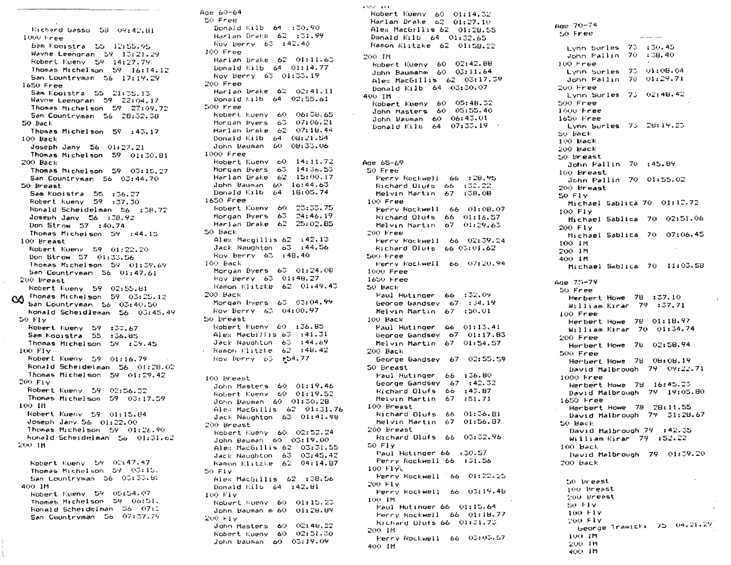Eichard Gasso 58 09:42.81 1000 Free Sam Kooistra 55 12:55.95 Wayne Leengran  $59 - 13:21.29$ Robert Kueny 59 14:27.79 Thomas Michelson 59 16:14.12 San Countryman 56 17:19.29  $1650$  Free Sam Kooistra 55 21:35.13 Wayne Leengran  $59$   $22:04.17$ Thomas Michelson 59 27:09.72 San Countryman 56 28:32.38 50 Back Thomas Michelson 59 : 43.17  $100$  Back Joseph Jany 56 01:27.21 Thomas Michelson 59 01:30.81 200 Back Thomas Michelson 59 03:15.27 San Countryman 56 03:44.70 50 Breast Sam Kooistra 55 :36.27 Robert Kueny 59 :37.30 Ronald Scheidelman 56 : 38.72 Joseph Jany 56 : 38.92 Don Strow 57 :40.74 Thomas Michelson 59 : 44.15 100 Breast Robert Kueny 59 01:22.20 Don Strow 57 01:33.56 Thomas Michelson 59 01:39.69 San Countryman 56 01:47.61 200 Breast Robert Kueny 59 02:55.81 Thomas Michelson 59 03:25.12  $\infty$ San Countryman 56 03:40.50 Ronald Scheidleman 56 03:45.49  $50 F1v$ Robert Kueny 59 :33.67 Sam Kooistra 55 :36.85 Thomas Michelson 59 : 39.45 100 FIV Robert Kueny 59 01:16.79 Ronald Scheidelman 56 01:28.02 Thomas Michelson 59 01:29.42 200 FIV Robert Kueny 59 02:56.32 Thomas Michelson 59 03:17.59 100 111 Robert Kueny 59 01:15.84 Joseph Jany 56 01:22.00 Thomas Michelson 59 01:26.90 Ronald Scheidelman 56 01:31.62 200 IB Robert Kueny 59 02:47.47 Thomas Michelson 59 03:15. San Countryman 56 03:33.85 400 IM Robert Kueny 59 05:54.07 Thomas Michelson 59 06:51. Ronald Scheidelman 56 07:1 San Countryman 56 07:37.79

Age 60-64 50 Free Donald Kilb 64 :30.90 Harlan Drake 62 :31.99 Roy Berry 63 :42.40 100 Free Harlan Drake 62 01:11.63 Donald Kilb 64 01:14.77 Roy Berry 63 01:33.19  $200$  Free: Harlan Drake 62 02:41.11 Donald Kilb 64 02:55.61 500 Free Robert Kueny 60 06:38.65 Mongan Byens 63 07:06.21 Harlan Drake 62 07:18.44 Donald Kilb 64 08:21.54 John Bauman 60 08:33.06 1000 Free Robert Kueny 60 14:11.72 Morgan Byers 63 14:36.53 Harlan Drake 62 15:00.17 John Bauman 60 16:44.63 Donald Kilb 64 16:05.74 1650 Free Robert Kueny 60 23:33.75 Morgan Byers 63 24:46.19 Harlan Drake 62 25:02.85 50 Back Alex Macgillis 62 :42.13 Jack Naughton 63 :44.56 Roy Berry 63 : 48.40 100 Back Mongan Byens 63 01:24.08 Roy Berry 63 01:48.27 Ramon Klitzke 62 01:49.43 200 Back Mongan Byens 63 03:04.99 Roy Berry 63 04:00.97 50 Breast Robert Kueny 60 :36.85 Alex MacGillis 63 : 41.31 Jack Naughton 63 :44.69  $\cdot$  Ramon Klitzke 62 :48.42 Hov Berry 63 :54.77 100 Breast John Masters 60 01:19.46 Robert Kueny 60 01:19.52 John Bauman 60 01:30.28 Alex MacGillis 62 01:31.76 Jack Naughton 63 01:41.98 200 Breast Robert Kueny 60 02:52.24 John Bauman 60 03:19.00 Alex MacGillis 62 03:31.55 Jack Naughton 63 03:45.42 Ramon Klitzke 62 04:14.87 50 Fly Alex MacGillis 62 :38.56 Donald Kilb  $64$  :  $42.81$ 100 Fly Robert Kueny 60 01:15.23 John Bauman m 60 01:28.89 200 FI<sub>Y</sub> John Masters 60 02:48.22 Robert Kueny 60 02:51.30 John Bauman 60 03:19.09

a oo laaa Robert Kueny 60 01:14.32 Harlan Drake 62 01:27.10 Alex MacGillis 62 01:28.55 Donald Kilb 64 01:32.65 Ramon Klitzke 62 01:58.22 200 IM Robert Kueny 60 02:42.88 John Baumanm 60 03:11.64 Alex MacGillis 62 03:17.39 Donald Kilb 64 03:30.07 400 IM Robert Kueny 60 05:48.32 John Masters 60 05:55.40 John Bauman 60 06:43.01 Donald Kilb 64 07:33.19 Age 65-69 50 Free Perry Rockwell 66 :28.95 Richard Olufs  $66 \div 32.22$ Melvin Martin 67 :38.08 100 Free Perry Rockwell 66 01:08.07 Richard Olufs 66 01:16.57 Melvin Martin 67 01:29.63  $200$  Free Perry Rockwell 66 02:39.24 Richard Olufs 66 03:01.62 500 Free Ferry Rockwell 66 07:20.94  $1000$  Free 1650 Free 50 Back Paul Hutinger 66 :32.09 beorge bandsey 67 :34.19 Melvin Martin 67 :50.01 100 Back Paul Hutinger 66 01:13.41 George Gandsey 67 01:17.83 Melvin Martin 67 01:54.57  $200$  Back George Gandsey 67 02:55.59 50 Breast Faul Hutinger 66 :36.80 George Gandsey  $67 : 42.32$ Richard Olufs 66 :43.87 Melvin Martin 67 :51.71 100 Breast Richard Olufs 66 01:36.81 Melvin Martin 67 01:56.87 200 Breast Richard Dlufs 66 03:32.96 50 Fly Paul Hutinger 66 : 30.57 Ferry Rockwell 66 :31.56 100 F1火 Perry Rockwell 66 01:22.25 200 Fly Perry Rockwell 66 03:19.4B 100 IM Paul Hutinger 66 01:15.64 Perry Rockwell 66 01:18.77 Richard Ulufs 66 01:31.73 200 IM Ferry Rockwell 66 03:03.57 400 IM

Age 70-74 50 Free **Company of Company** Lynn Surles 73 :30.45 John Fallin 70 :38.40  $100$  Free Lynn Surles 73 01:08.04 John Pallin 70 01:29.71 200 Free Lynn Surles 73 02:48.42 500 Free 1000 Free 1650 Free Lynn Surles 73 28:19.23 SO Back  $100$  Back 200 Back 50 Breast John Pallin 70 :45.89 100 Breast John Fallin 70 01:55.02 200 Breast 50 F1v Michael Sablica 70 01:12.72 100 Fly Michael Sablica 70 02:51.06 200 Fly Michael Sablica 70 07:06.45 100 IM 200 IM 400 IM Michael Sablica 70 11:03.58 Age 75-79  $50$  Free Herbert Howe 78 :37.10 William Kirar 79 :37.71  $100$  Free Herbert Howe 78 01:18.97 William Kirar 70 01:34.74  $200$  Free Herbert Howe 78 02:58.94 500 Free Herbert Howe 78 08:08.19 David Malbrough 79 09:22.71 1000 Free Herbert Howe 78 16:45.23 David Malbrough 79 19:05.80 1650 Free Herbert Howe 78 28:11.55 David Malbrough 79 31:28.67 50 Back David Malbrough 79 :42.35 William Kirar 79 :52.22  $100$  Back David Malbrough 79 01:39.20 200 Back 50 Breast 100 Breast  $200$  Breast  $50 F1y$  $100$  Fly 200 Fly beorge  $1$ rawicki 75 04.21.29 100 IM 200 IM 400 IM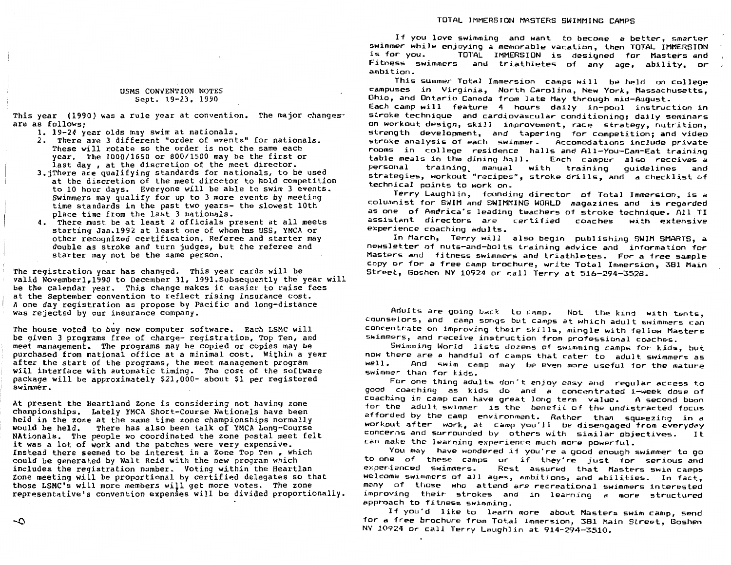#### USMS CONVENTION NOTES Sept. 19-23, 1990

This year (1990) was a rule year at convention. The major changes· are as follows;

1. 19-24 year olds may swim at nationals.

- 2. There are 3 different "order of events" for nationals. These will rotate so the order is not the same each year. The 1000/1650 or 800/1500 may be the first or last day, at the discretion of the meet director.
- 3.jThere are qualifying standards for nationals, to be used at the discretion of the meet director to hold competition to 10 hour days. Everyone will be able to swim 3 events. Swimmers may qualify for up to 3 more events by meeting time standards in the past two years- the slowest 10th place time from the last 3 nationals.
- **4.** There must be at least 2 officials present at all meets starting Jan.1992 at least one of whom ms USS, YMCA or other recognized certification. Referee and starter may double as stroke and turn judges, but the referee and starter may not be the same person.

The registration year has changed. This year cards will be valid Novemberl,1990 to December 31, 1991.Subsequently the year will be the calendar year. This change makes it easier to raise fees at the September convention to reflect rising insurance cost. **<sup>A</sup>**one day registration as propose by Pacific and long-distance was rejected by our insurance company.

The house voted to buy new computer software. Each LSMC will be given 3 programs free of charge- registration, Top Ten, and meet management. The programs may be copied or copies may be purchased from national office at a minimal cost. Within a year after the start of the programs, the meet management program will interface with automatic timing. The cost of the software package will be approximately \$21,000- about \$1 per registered swimmer.

At present the Heartland Zone is considering not having zone championships. Lately YMCA Short-Course Nationals have been held in the zone at the same time zone championships normally would be held. There has also been talk of YMCA Long-Course NAtionals. The people wo coordinated the zone postal meet felt it was a lot of work and the patches were very expensive. Instead there seemed to be interest in a Zone Top Ten, which could be generated by Walt Reid with the new program which includes the registration number. Voting within the Heartlan Zone meeting will be proportional by certified delegates so that those LSMC's will more members will get more votes. The zone representative's convention expenses will be divided proportionally.

If you love swimming and want to become a better, smarter swimmer while enjoying a memorable vacation, then TOTAL IMMERSION TOTAL IMMERSION is designed for Masters and Fitness swimmers and triathletes of any age, ability, or ambition.

This summer Total Immersion camps will be held on college campuses *in* Virginia, North Carolina, New York, Massachusetts, Ohio, and Ontario Canada from late May through mid-August.

Each camp will feature 4 hours daily in-pool instruction *in*  stroke technique and cardiovascular conditioning; daily seminars on workout design, skill improvement, race strategy, nutrition, strength development, and tapering for competition; and video stroke analysis of each swimmer. Accornodations include private rooms in college residence halls and All-You-Can-Eat training table meals in the dining hall. Each camper also receives a personal training\_ manual with training guidelines and strategies, workout •recipes", stroke drills, and a checklist of technical points to work on.

Terry Laughlin, founding director of Total Immersion, is a columnist for SWIM and SWIMMING WORLD magazines and is regarded as one of America's leading teachers of stroke technique. All TI coaches **with** extensive assistant directors are experience coaching adults.

In March, Terry will also begin publishing SWIM SMARTS, a newsletter of nuts-and-bolts training advice and information for Masters and fitness swimmers and triathletes. For a free sample copy or for a free camp brochure, write Total Immersion, 381 Main Street, Goshen NY 10924 or call Terry at 516-294-3528.

Adults are going back to camp. Not the kind with tents, counselors, and camp songs but camps at which adult swimmers can concentrate on improving their skills, mingle with fellow Masters swimmers, and receive instruction from professional coaches.

Swimming World lists dozens of swimming camps for kids, but now there are a handful of camps that cater to adult swimmers as And swim camp may be even more useful for the mature swimmer lhan for kids.

For one thing adults don·t enjoy easy and regular access lo good coaching as kids do and a concentrated 1-week dose of coaching in camp can have great long term value. A second boon for the adult swimmer is the benefit of the undistracted focus afforded by the camp environment. Rather than squeezing in a workout after work, at camp you"ll be disengaged from everyday concerns and surrounded by others with similar objectives. It can male the learning experience much more powerful.

You may have wondered if you're a good enough swimmer to go to one of these camps or if they're just for serious\_and<br>experienced swimmers. Rest assured that Masters\_swim\_camps Rest assured that Masters swim camps welcome swimmers of all ages, ambitions, and abilities. In fact, many of those who attend are recreational swimmers interested improving their strokes and in learning a more structured approach to fitness swi~ming.

If you"d like to learn more about Masters swim camp, send for a free brochure from Total Immersion, 381 Main Street, Goshen NY 10924 or call Terry Laughlin at 914-294-3510.